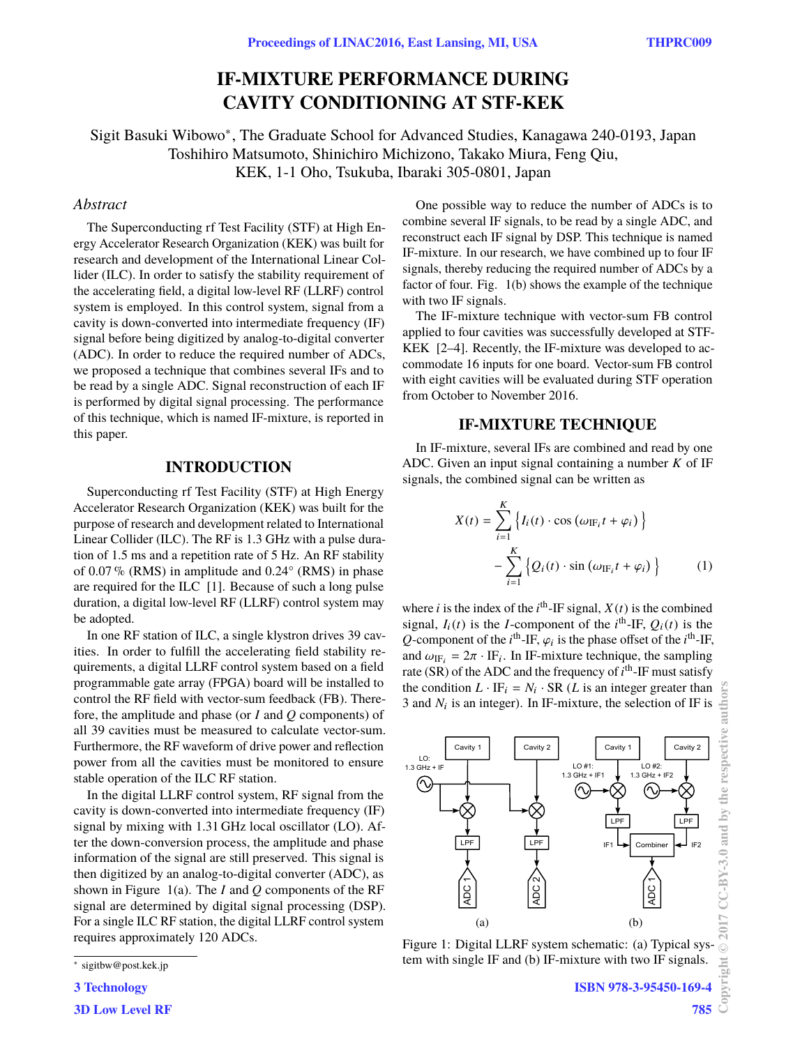# **IF-MIXTURE PERFORMANCE DURING CAVITY CONDITIONING AT STF-KEK**

Sigit Basuki Wibowo<sup>∗</sup> , The Graduate School for Advanced Studies, Kanagawa 240-0193, Japan Toshihiro Matsumoto, Shinichiro Michizono, Takako Miura, Feng Qiu, KEK, 1-1 Oho, Tsukuba, Ibaraki 305-0801, Japan

# *Abstract*

The Superconducting rf Test Facility (STF) at High Energy Accelerator Research Organization (KEK) was built for research and development of the International Linear Collider (ILC). In order to satisfy the stability requirement of the accelerating field, a digital low-level RF (LLRF) control system is employed. In this control system, signal from a cavity is down-converted into intermediate frequency (IF) signal before being digitized by analog-to-digital converter (ADC). In order to reduce the required number of ADCs, we proposed a technique that combines several IFs and to be read by a single ADC. Signal reconstruction of each IF is performed by digital signal processing. The performance of this technique, which is named IF-mixture, is reported in this paper.

#### **INTRODUCTION**

Superconducting rf Test Facility (STF) at High Energy Accelerator Research Organization (KEK) was built for the purpose of research and development related to International Linear Collider (ILC). The RF is 1.3 GHz with a pulse duration of 1.5 ms and a repetition rate of 5 Hz. An RF stability of  $0.07\%$  (RMS) in amplitude and  $0.24^{\circ}$  (RMS) in phase are required for the ILC [1]. Because of such a long pulse duration, a digital low-level RF (LLRF) control system may be adopted.

In one RF station of ILC, a single klystron drives 39 cavities. In order to fulfill the accelerating field stability requirements, a digital LLRF control system based on a field programmable gate array (FPGA) board will be installed to control the RF field with vector-sum feedback (FB). Therefore, the amplitude and phase (or *I* and *Q* components) of all 39 cavities must be measured to calculate vector-sum. Furthermore, the RF waveform of drive power and reflection power from all the cavities must be monitored to ensure stable operation of the ILC RF station.

In the digital LLRF control system, RF signal from the cavity is down-converted into intermediate frequency (IF) signal by mixing with 1.31 GHz local oscillator (LO). After the down-conversion process, the amplitude and phase information of the signal are still preserved. This signal is then digitized by an analog-to-digital converter (ADC), as shown in Figure 1(a). The *I* and *Q* components of the RF signal are determined by digital signal processing (DSP). For a single ILC RF station, the digital LLRF control system requires approximately 120 ADCs.

**3 Technology**

**3D Low Level RF**

One possible way to reduce the number of ADCs is to combine several IF signals, to be read by a single ADC, and reconstruct each IF signal by DSP. This technique is named IF-mixture. In our research, we have combined up to four IF signals, thereby reducing the required number of ADCs by a factor of four. Fig. 1(b) shows the example of the technique with two IF signals.

The IF-mixture technique with vector-sum FB control applied to four cavities was successfully developed at STF-KEK [2–4]. Recently, the IF-mixture was developed to accommodate 16 inputs for one board. Vector-sum FB control with eight cavities will be evaluated during STF operation from October to November 2016.

# **IF-MIXTURE TECHNIQUE**

In IF-mixture, several IFs are combined and read by one ADC. Given an input signal containing a number *K* of IF signals, the combined signal can be written as

$$
X(t) = \sum_{i=1}^{K} \left\{ I_i(t) \cdot \cos \left( \omega_{\text{IF}_i} t + \varphi_i \right) \right\}
$$

$$
- \sum_{i=1}^{K} \left\{ Q_i(t) \cdot \sin \left( \omega_{\text{IF}_i} t + \varphi_i \right) \right\} \tag{1}
$$

where *i* is the index of the  $i^{\text{th}}$ -IF signal,  $X(t)$  is the combined signal,  $I_i(t)$  is the *I*-component of the  $i^{\text{th}}$ -IF,  $Q_i(t)$  is the *Q*-component of the *i*<sup>th</sup>-IF,  $\varphi_i$  is the phase offset of the *i*<sup>th</sup>-IF, and  $\omega_{\text{RF}} = 2\pi \cdot \text{IF}$ . In IF-mixture technique, the sampling and  $\omega_{\text{IF}_i} = 2\pi \cdot \text{IF}_i$ . In IF-mixture technique, the sampling rate (SR) of the ADC and the frequency of *i*<sup>th</sup>-IF must satisfy rate (SR) of the ADC and the frequency of  $i<sup>th</sup>$ -IF must satisfy the condition  $L \cdot \text{IF}_i = N_i \cdot \text{SR}$  (*L* is an integer greater than 3 and  $N_i$  is an integer). In IF-mixture, the selection of IF is



Figure 1: Digital LLRF system schematic: (a) Typical system with single IF and (b) IF-mixture with two IF signals.

**©**

<sup>∗</sup> sigitbw@post.kek.jp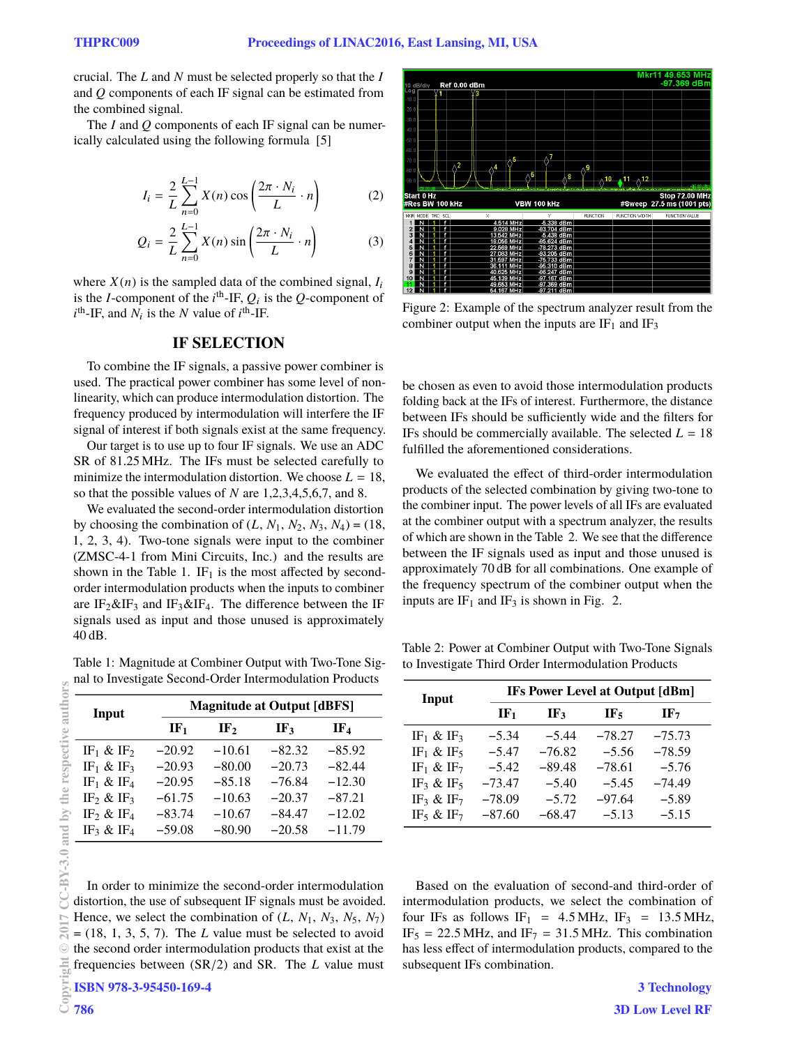crucial. The *L* and *N* must be selected properly so that the *I* and *Q* components of each IF signal can be estimated from the combined signal.

The *I* and *Q* components of each IF signal can be numerically calculated using the following formula [5]

$$
I_i = \frac{2}{L} \sum_{n=0}^{L-1} X(n) \cos\left(\frac{2\pi \cdot N_i}{L} \cdot n\right) \tag{2}
$$

$$
Q_i = \frac{2}{L} \sum_{n=0}^{L-1} X(n) \sin\left(\frac{2\pi \cdot N_i}{L} \cdot n\right)
$$
 (3)

where  $X(n)$  is the sampled data of the combined signal,  $I_i$ is the *I*-component of the  $i^{\text{th}}$ -IF,  $Q_i$  is the *Q*-component of  $i^{\text{th}}$ -IF, and  $N_i$  is the *N* value of  $i^{\text{th}}$ -IF.

#### **IF SELECTION**

To combine the IF signals, a passive power combiner is used. The practical power combiner has some level of nonlinearity, which can produce intermodulation distortion. The frequency produced by intermodulation will interfere the IF signal of interest if both signals exist at the same frequency.

Our target is to use up to four IF signals. We use an ADC SR of 81.25 MHz. The IFs must be selected carefully to minimize the intermodulation distortion. We choose  $L = 18$ , so that the possible values of *N* are 1,2,3,4,5,6,7, and 8.

We evaluated the second-order intermodulation distortion by choosing the combination of  $(L, N_1, N_2, N_3, N_4) = (18,$ 1, 2, 3, 4). Two-tone signals were input to the combiner (ZMSC-4-1 from Mini Circuits, Inc.) and the results are shown in the Table 1. IF<sub>1</sub> is the most affected by secondorder intermodulation products when the inputs to combiner are  $IF_2\&IF_3$  and  $IF_3\&IF_4$ . The difference between the IF signals used as input and those unused is approximately 40 dB.

Table 1: Magnitude at Combiner Output with Two-Tone Signal to Investigate Second-Order Intermodulation Products

| Input                             | <b>Magnitude at Output [dBFS]</b> |                 |                 |                 |  |
|-----------------------------------|-----------------------------------|-----------------|-----------------|-----------------|--|
|                                   | IF <sub>1</sub>                   | IF <sub>2</sub> | IF <sub>3</sub> | IF <sub>4</sub> |  |
| IF <sub>1</sub> & IF <sub>2</sub> | $-20.92$                          | $-10.61$        | $-82.32$        | $-85.92$        |  |
| IF <sub>1</sub> & IF <sub>3</sub> | $-20.93$                          | $-80.00$        | $-20.73$        | $-82.44$        |  |
| IF <sub>1</sub> & IF <sub>4</sub> | $-20.95$                          | $-85.18$        | $-76.84$        | $-12.30$        |  |
| IF <sub>2</sub> & IF <sub>3</sub> | $-61.75$                          | $-10.63$        | $-20.37$        | $-87.21$        |  |
| IF <sub>2</sub> & IF <sub>4</sub> | $-83.74$                          | $-10.67$        | $-84.47$        | $-12.02$        |  |
| IF <sub>3</sub> & IF <sub>4</sub> | $-59.08$                          | $-80.90$        | $-20.58$        | $-11.79$        |  |

In order to minimize the second-order intermodulation distortion, the use of subsequent IF signals must be avoided. Hence, we select the combination of  $(L, N_1, N_3, N_5, N_7)$  $= (18, 1, 3, 5, 7)$ . The *L* value must be selected to avoid the second order intermodulation products that exist at the frequencies between (SR/2) and SR. The *<sup>L</sup>* value must **ISBN 978-3-95450-169-4**



Figure 2: Example of the spectrum analyzer result from the combiner output when the inputs are  $IF_1$  and  $IF_3$ 

be chosen as even to avoid those intermodulation products folding back at the IFs of interest. Furthermore, the distance between IFs should be sufficiently wide and the filters for IFs should be commercially available. The selected  $L = 18$ fulfilled the aforementioned considerations.

We evaluated the effect of third-order intermodulation products of the selected combination by giving two-tone to the combiner input. The power levels of all IFs are evaluated at the combiner output with a spectrum analyzer, the results of which are shown in the Table 2. We see that the difference between the IF signals used as input and those unused is approximately 70 dB for all combinations. One example of the frequency spectrum of the combiner output when the inputs are  $IF_1$  and  $IF_3$  is shown in Fig. 2.

Table 2: Power at Combiner Output with Two-Tone Signals to Investigate Third Order Intermodulation Products

| Input                             | IFs Power Level at Output [dBm] |          |          |                 |  |
|-----------------------------------|---------------------------------|----------|----------|-----------------|--|
|                                   | $\mathbf{I} \mathbf{F}_1$       | IF3      | IF,      | IF <sub>7</sub> |  |
| IF <sub>1</sub> & IF <sub>3</sub> | $-5.34$                         | $-5.44$  | $-78.27$ | $-75.73$        |  |
| IF <sub>1</sub> & IF <sub>5</sub> | $-5.47$                         | $-76.82$ | $-5.56$  | $-78.59$        |  |
| IF <sub>1</sub> & IF <sub>7</sub> | $-5.42$                         | $-89.48$ | $-78.61$ | $-5.76$         |  |
| IF <sub>3</sub> & IF <sub>5</sub> | $-73.47$                        | $-5.40$  | $-5.45$  | $-74.49$        |  |
| IF <sub>3</sub> & IF <sub>7</sub> | $-78.09$                        | $-5.72$  | $-97.64$ | $-5.89$         |  |
| IF <sub>5</sub> & IF <sub>7</sub> | $-87.60$                        | $-68.47$ | $-5.13$  | $-5.15$         |  |

Based on the evaluation of second-and third-order of intermodulation products, we select the combination of four IFs as follows IF<sub>1</sub> = 4.5 MHz, IF<sub>3</sub> = 13.5 MHz,  $IF_5 = 22.5 \text{ MHz}$ , and  $IF_7 = 31.5 \text{ MHz}$ . This combination has less effect of intermodulation products, compared to the subsequent IFs combination.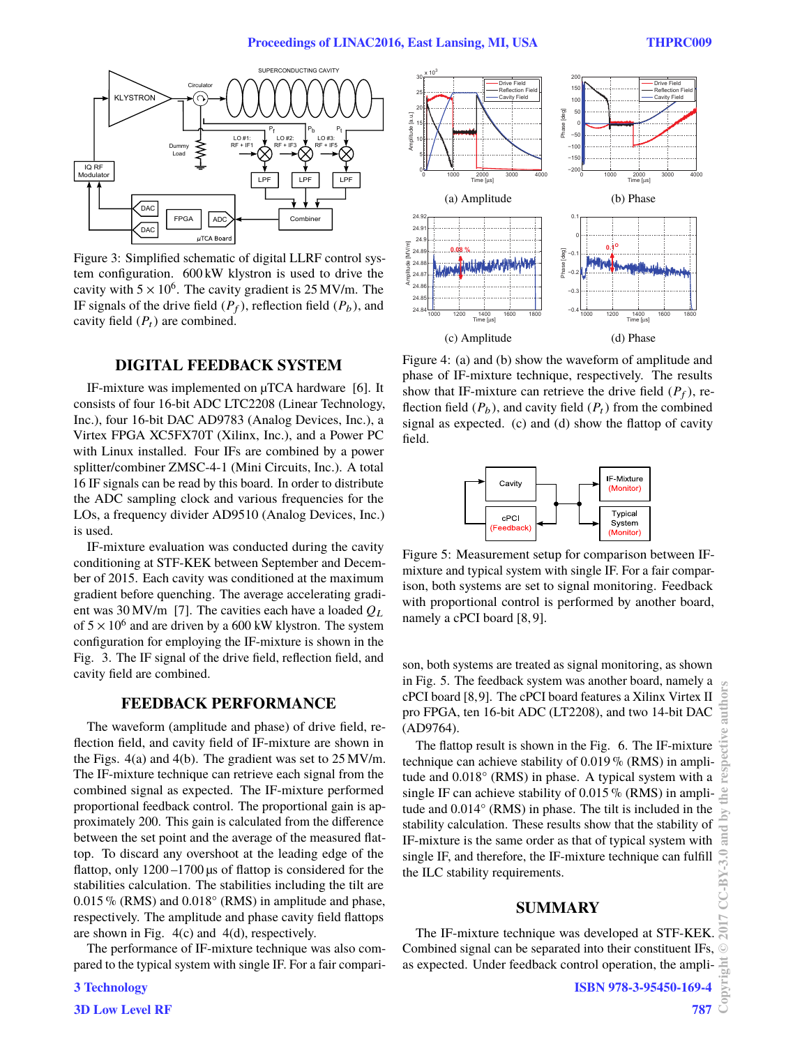#### **Proceedings of LINAC2016, East Lansing, MI, USA THPRC009**



Figure 3: Simplified schematic of digital LLRF control system configuration. 600 kW klystron is used to drive the cavity with  $5 \times 10^6$ . The cavity gradient is 25 MV/m. The IF signals of the drive field  $(P_f)$ , reflection field  $(P_b)$ , and cavity field  $(P_t)$  are combined.

## **DIGITAL FEEDBACK SYSTEM**

IF-mixture was implemented on µTCA hardware [6]. It consists of four 16-bit ADC LTC2208 (Linear Technology, Inc.), four 16-bit DAC AD9783 (Analog Devices, Inc.), a Virtex FPGA XC5FX70T (Xilinx, Inc.), and a Power PC with Linux installed. Four IFs are combined by a power splitter/combiner ZMSC-4-1 (Mini Circuits, Inc.). A total 16 IF signals can be read by this board. In order to distribute the ADC sampling clock and various frequencies for the LOs, a frequency divider AD9510 (Analog Devices, Inc.) is used.

IF-mixture evaluation was conducted during the cavity conditioning at STF-KEK between September and December of 2015. Each cavity was conditioned at the maximum gradient before quenching. The average accelerating gradient was 30 MV/m [7]. The cavities each have a loaded *Q*<sup>L</sup> of  $5 \times 10^6$  and are driven by a 600 kW klystron. The system configuration for employing the IF-mixture is shown in the Fig. 3. The IF signal of the drive field, reflection field, and cavity field are combined.

## **FEEDBACK PERFORMANCE**

The waveform (amplitude and phase) of drive field, reflection field, and cavity field of IF-mixture are shown in the Figs. 4(a) and 4(b). The gradient was set to 25 MV/m. The IF-mixture technique can retrieve each signal from the combined signal as expected. The IF-mixture performed proportional feedback control. The proportional gain is approximately 200. This gain is calculated from the difference between the set point and the average of the measured flattop. To discard any overshoot at the leading edge of the flattop, only  $1200 - 1700 \,\mu s$  of flattop is considered for the stabilities calculation. The stabilities including the tilt are  $0.015\%$  (RMS) and  $0.018°$  (RMS) in amplitude and phase, respectively. The amplitude and phase cavity field flattops are shown in Fig. 4(c) and 4(d), respectively.

The performance of IF-mixture technique was also compared to the typical system with single IF. For a fair compari-





Figure 4: (a) and (b) show the waveform of amplitude and phase of IF-mixture technique, respectively. The results show that IF-mixture can retrieve the drive field  $(P_f)$ , reflection field  $(P_b)$ , and cavity field  $(P_t)$  from the combined signal as expected. (c) and (d) show the flattop of cavity field.



Figure 5: Measurement setup for comparison between IFmixture and typical system with single IF. For a fair comparison, both systems are set to signal monitoring. Feedback with proportional control is performed by another board, namely a cPCI board [8, 9].

son, both systems are treated as signal monitoring, as shown in Fig. 5. The feedback system was another board, namely a cPCI board [8,9]. The cPCI board features a Xilinx Virtex II pro FPGA, ten 16-bit ADC (LT2208), and two 14-bit DAC (AD9764).

The flattop result is shown in the Fig. 6. The IF-mixture technique can achieve stability of  $0.019\%$  (RMS) in amplitude and 0.018° (RMS) in phase. A typical system with a single IF can achieve stability of  $0.015\%$  (RMS) in amplitude and 0.014° (RMS) in phase. The tilt is included in the stability calculation. These results show that the stability of IF-mixture is the same order as that of typical system with single IF, and therefore, the IF-mixture technique can fulfill the ILC stability requirements.

## **SUMMARY**

The IF-mixture technique was developed at STF-KEK. Combined signal can be separated into their constituent IFs, as expected. Under feedback control operation, the ampli-